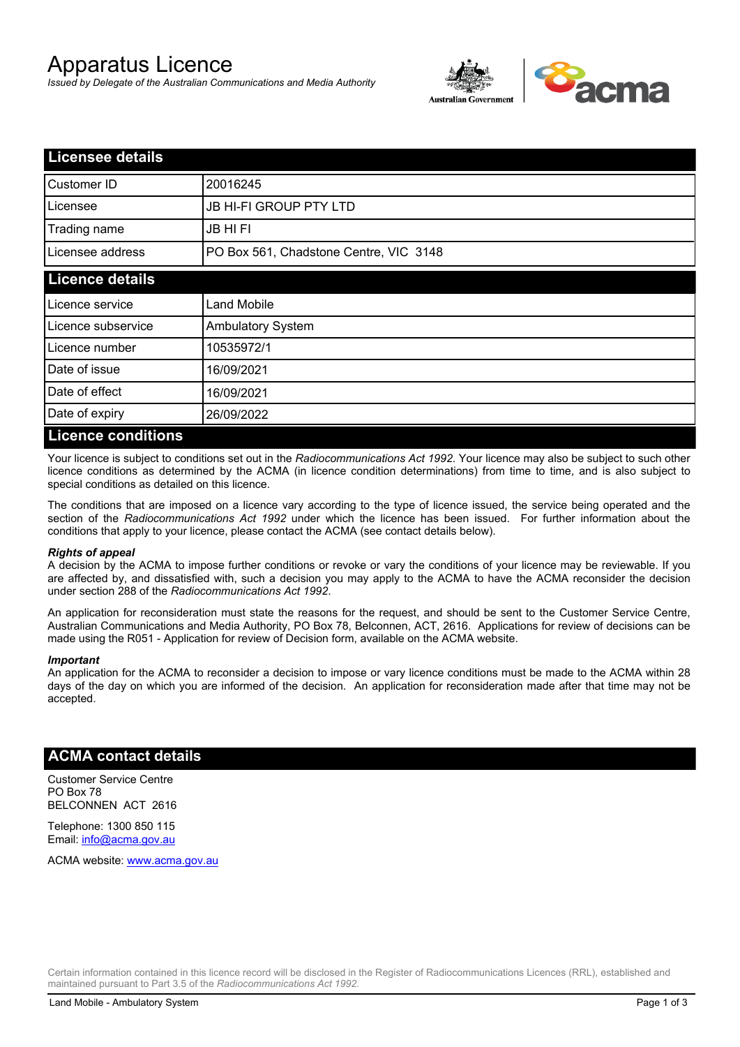# Apparatus Licence

*Issued by Delegate of the Australian Communications and Media Authority*



| <b>Licensee details</b>   |                                        |  |
|---------------------------|----------------------------------------|--|
| Customer ID               | 20016245                               |  |
| Licensee                  | <b>JB HI-FI GROUP PTY LTD</b>          |  |
| Trading name              | <b>JB HIFI</b>                         |  |
| Licensee address          | PO Box 561, Chadstone Centre, VIC 3148 |  |
| <b>Licence details</b>    |                                        |  |
| Licence service           | <b>Land Mobile</b>                     |  |
| Licence subservice        | <b>Ambulatory System</b>               |  |
| Licence number            | 10535972/1                             |  |
| Date of issue             | 16/09/2021                             |  |
| Date of effect            | 16/09/2021                             |  |
| Date of expiry            | 26/09/2022                             |  |
| <b>Licence conditions</b> |                                        |  |

Your licence is subject to conditions set out in the *Radiocommunications Act 1992*. Your licence may also be subject to such other licence conditions as determined by the ACMA (in licence condition determinations) from time to time, and is also subject to special conditions as detailed on this licence.

The conditions that are imposed on a licence vary according to the type of licence issued, the service being operated and the section of the *Radiocommunications Act 1992* under which the licence has been issued. For further information about the conditions that apply to your licence, please contact the ACMA (see contact details below).

#### *Rights of appeal*

A decision by the ACMA to impose further conditions or revoke or vary the conditions of your licence may be reviewable. If you are affected by, and dissatisfied with, such a decision you may apply to the ACMA to have the ACMA reconsider the decision under section 288 of the *Radiocommunications Act 1992*.

An application for reconsideration must state the reasons for the request, and should be sent to the Customer Service Centre, Australian Communications and Media Authority, PO Box 78, Belconnen, ACT, 2616. Applications for review of decisions can be made using the R051 - Application for review of Decision form, available on the ACMA website.

#### *Important*

An application for the ACMA to reconsider a decision to impose or vary licence conditions must be made to the ACMA within 28 days of the day on which you are informed of the decision. An application for reconsideration made after that time may not be accepted.

### **ACMA contact details**

Customer Service Centre PO Box 78 BELCONNEN ACT 2616

Telephone: 1300 850 115 Email: info@acma.gov.au

ACMA website: www.acma.gov.au

Certain information contained in this licence record will be disclosed in the Register of Radiocommunications Licences (RRL), established and maintained pursuant to Part 3.5 of the *Radiocommunications Act 1992.*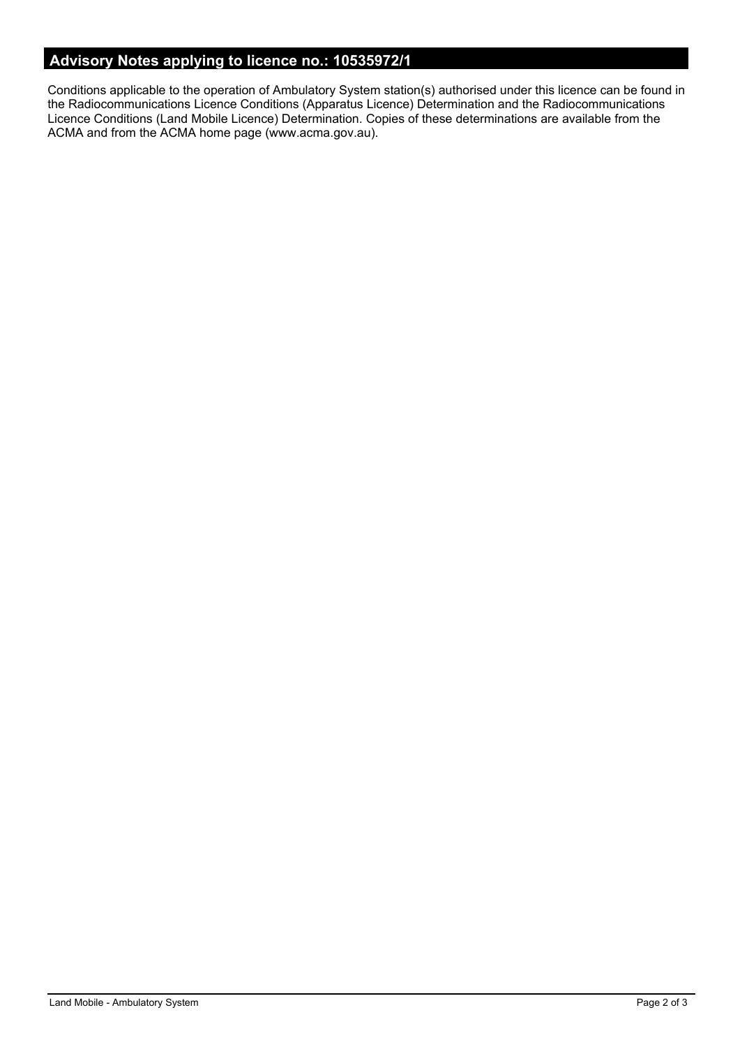# **Advisory Notes applying to licence no.: 10535972/1**

Conditions applicable to the operation of Ambulatory System station(s) authorised under this licence can be found in the Radiocommunications Licence Conditions (Apparatus Licence) Determination and the Radiocommunications Licence Conditions (Land Mobile Licence) Determination. Copies of these determinations are available from the ACMA and from the ACMA home page (www.acma.gov.au).